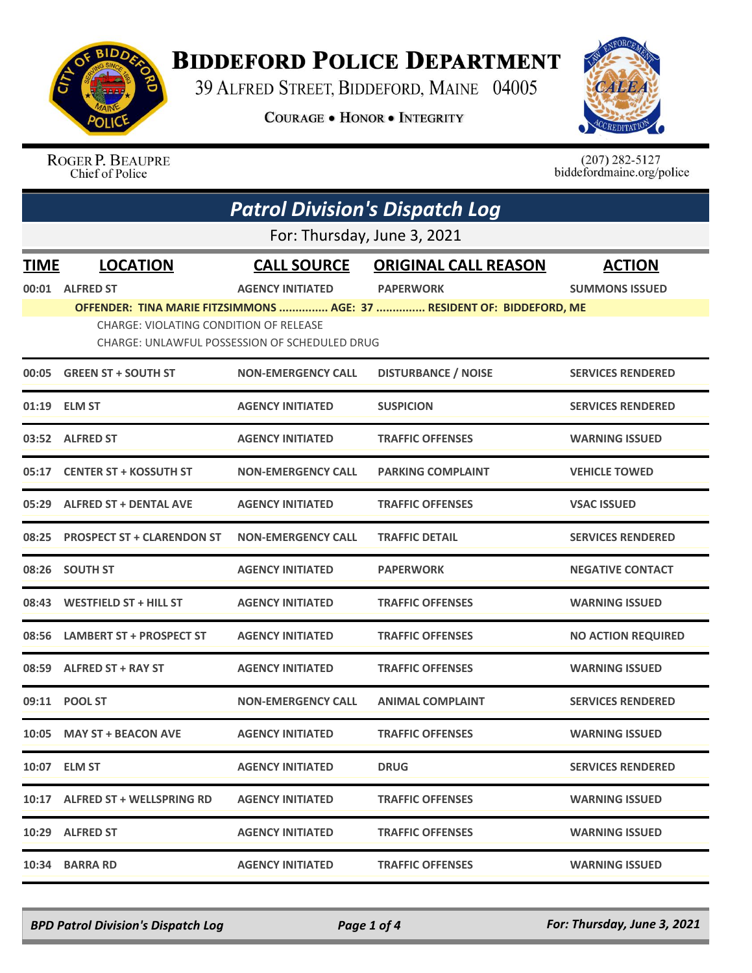

## **BIDDEFORD POLICE DEPARTMENT**

39 ALFRED STREET, BIDDEFORD, MAINE 04005

**COURAGE . HONOR . INTEGRITY** 



ROGER P. BEAUPRE<br>Chief of Police

 $(207)$  282-5127<br>biddefordmaine.org/police

| <b>Patrol Division's Dispatch Log</b> |                                                                                                                                                                         |                           |                             |                           |  |  |
|---------------------------------------|-------------------------------------------------------------------------------------------------------------------------------------------------------------------------|---------------------------|-----------------------------|---------------------------|--|--|
| For: Thursday, June 3, 2021           |                                                                                                                                                                         |                           |                             |                           |  |  |
| <b>TIME</b>                           | <b>LOCATION</b>                                                                                                                                                         | <b>CALL SOURCE</b>        | <b>ORIGINAL CALL REASON</b> | <b>ACTION</b>             |  |  |
| 00:01                                 | <b>ALFRED ST</b>                                                                                                                                                        | <b>AGENCY INITIATED</b>   | <b>PAPERWORK</b>            | <b>SUMMONS ISSUED</b>     |  |  |
|                                       | OFFENDER: TINA MARIE FITZSIMMONS  AGE: 37  RESIDENT OF: BIDDEFORD, ME<br>CHARGE: VIOLATING CONDITION OF RELEASE<br><b>CHARGE: UNLAWFUL POSSESSION OF SCHEDULED DRUG</b> |                           |                             |                           |  |  |
| 00:05                                 | <b>GREEN ST + SOUTH ST</b>                                                                                                                                              | <b>NON-EMERGENCY CALL</b> | <b>DISTURBANCE / NOISE</b>  | <b>SERVICES RENDERED</b>  |  |  |
|                                       | 01:19 ELM ST                                                                                                                                                            | <b>AGENCY INITIATED</b>   | <b>SUSPICION</b>            | <b>SERVICES RENDERED</b>  |  |  |
|                                       | 03:52 ALFRED ST                                                                                                                                                         | <b>AGENCY INITIATED</b>   | <b>TRAFFIC OFFENSES</b>     | <b>WARNING ISSUED</b>     |  |  |
| 05:17                                 | <b>CENTER ST + KOSSUTH ST</b>                                                                                                                                           | <b>NON-EMERGENCY CALL</b> | <b>PARKING COMPLAINT</b>    | <b>VEHICLE TOWED</b>      |  |  |
|                                       | 05:29 ALFRED ST + DENTAL AVE                                                                                                                                            | <b>AGENCY INITIATED</b>   | <b>TRAFFIC OFFENSES</b>     | <b>VSAC ISSUED</b>        |  |  |
| 08:25                                 | <b>PROSPECT ST + CLARENDON ST</b>                                                                                                                                       | <b>NON-EMERGENCY CALL</b> | <b>TRAFFIC DETAIL</b>       | <b>SERVICES RENDERED</b>  |  |  |
| 08:26                                 | <b>SOUTH ST</b>                                                                                                                                                         | <b>AGENCY INITIATED</b>   | <b>PAPERWORK</b>            | <b>NEGATIVE CONTACT</b>   |  |  |
| 08:43                                 | <b>WESTFIELD ST + HILL ST</b>                                                                                                                                           | <b>AGENCY INITIATED</b>   | <b>TRAFFIC OFFENSES</b>     | <b>WARNING ISSUED</b>     |  |  |
| 08:56                                 | <b>LAMBERT ST + PROSPECT ST</b>                                                                                                                                         | <b>AGENCY INITIATED</b>   | <b>TRAFFIC OFFENSES</b>     | <b>NO ACTION REQUIRED</b> |  |  |
| 08:59                                 | ALFRED ST + RAY ST                                                                                                                                                      | <b>AGENCY INITIATED</b>   | <b>TRAFFIC OFFENSES</b>     | <b>WARNING ISSUED</b>     |  |  |
| 09:11                                 | <b>POOL ST</b>                                                                                                                                                          | <b>NON-EMERGENCY CALL</b> | <b>ANIMAL COMPLAINT</b>     | <b>SERVICES RENDERED</b>  |  |  |
|                                       | 10:05 MAY ST + BEACON AVE                                                                                                                                               | <b>AGENCY INITIATED</b>   | <b>TRAFFIC OFFENSES</b>     | <b>WARNING ISSUED</b>     |  |  |
|                                       | 10:07 ELM ST                                                                                                                                                            | <b>AGENCY INITIATED</b>   | <b>DRUG</b>                 | <b>SERVICES RENDERED</b>  |  |  |
|                                       | 10:17 ALFRED ST + WELLSPRING RD                                                                                                                                         | <b>AGENCY INITIATED</b>   | <b>TRAFFIC OFFENSES</b>     | <b>WARNING ISSUED</b>     |  |  |
|                                       | 10:29 ALFRED ST                                                                                                                                                         | <b>AGENCY INITIATED</b>   | <b>TRAFFIC OFFENSES</b>     | <b>WARNING ISSUED</b>     |  |  |
|                                       | 10:34 BARRA RD                                                                                                                                                          | <b>AGENCY INITIATED</b>   | <b>TRAFFIC OFFENSES</b>     | <b>WARNING ISSUED</b>     |  |  |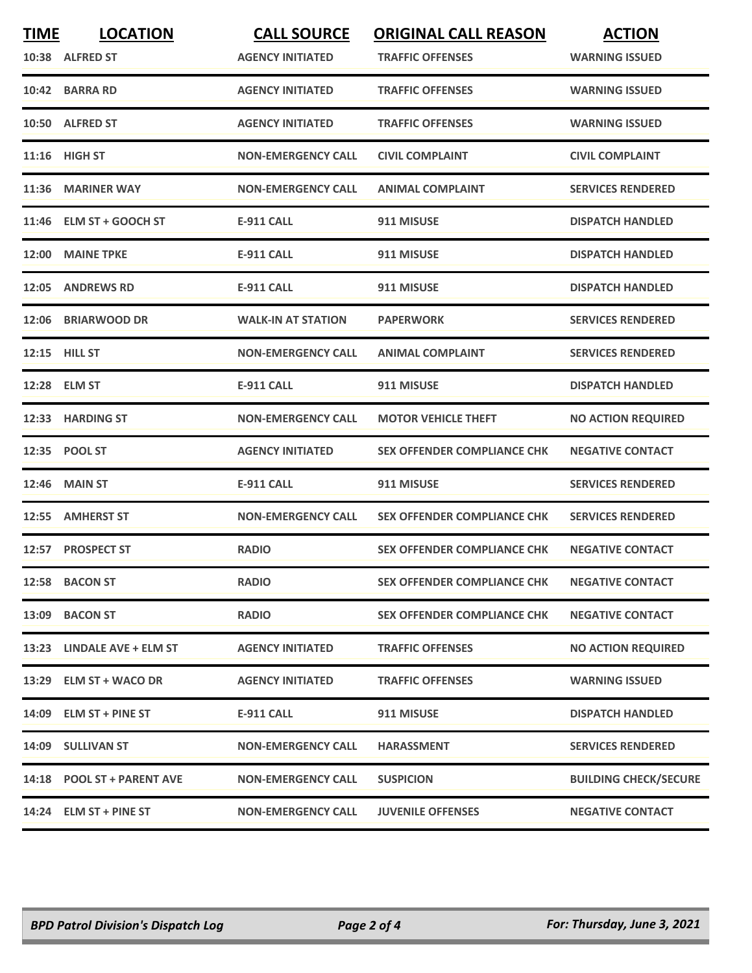| <b>TIME</b> | <b>LOCATION</b><br>10:38 ALFRED ST | <b>CALL SOURCE</b><br><b>AGENCY INITIATED</b> | <b>ORIGINAL CALL REASON</b><br><b>TRAFFIC OFFENSES</b> | <b>ACTION</b><br><b>WARNING ISSUED</b> |
|-------------|------------------------------------|-----------------------------------------------|--------------------------------------------------------|----------------------------------------|
| 10:42       | <b>BARRA RD</b>                    | <b>AGENCY INITIATED</b>                       | <b>TRAFFIC OFFENSES</b>                                | <b>WARNING ISSUED</b>                  |
| 10:50       | <b>ALFRED ST</b>                   | <b>AGENCY INITIATED</b>                       | <b>TRAFFIC OFFENSES</b>                                | <b>WARNING ISSUED</b>                  |
| 11:16       | <b>HIGH ST</b>                     | <b>NON-EMERGENCY CALL</b>                     | <b>CIVIL COMPLAINT</b>                                 | <b>CIVIL COMPLAINT</b>                 |
| 11:36       | <b>MARINER WAY</b>                 | <b>NON-EMERGENCY CALL</b>                     | <b>ANIMAL COMPLAINT</b>                                | <b>SERVICES RENDERED</b>               |
| 11:46       | <b>ELM ST + GOOCH ST</b>           | E-911 CALL                                    | 911 MISUSE                                             | <b>DISPATCH HANDLED</b>                |
| 12:00       | <b>MAINE TPKE</b>                  | <b>E-911 CALL</b>                             | 911 MISUSE                                             | <b>DISPATCH HANDLED</b>                |
| 12:05       | <b>ANDREWS RD</b>                  | <b>E-911 CALL</b>                             | 911 MISUSE                                             | <b>DISPATCH HANDLED</b>                |
| 12:06       | <b>BRIARWOOD DR</b>                | <b>WALK-IN AT STATION</b>                     | <b>PAPERWORK</b>                                       | <b>SERVICES RENDERED</b>               |
|             | 12:15 HILL ST                      | <b>NON-EMERGENCY CALL</b>                     | <b>ANIMAL COMPLAINT</b>                                | <b>SERVICES RENDERED</b>               |
| 12:28       | <b>ELM ST</b>                      | <b>E-911 CALL</b>                             | 911 MISUSE                                             | <b>DISPATCH HANDLED</b>                |
| 12:33       | <b>HARDING ST</b>                  | <b>NON-EMERGENCY CALL</b>                     | <b>MOTOR VEHICLE THEFT</b>                             | <b>NO ACTION REQUIRED</b>              |
| 12:35       | <b>POOL ST</b>                     | <b>AGENCY INITIATED</b>                       | <b>SEX OFFENDER COMPLIANCE CHK</b>                     | <b>NEGATIVE CONTACT</b>                |
| 12:46       | <b>MAIN ST</b>                     | <b>E-911 CALL</b>                             | 911 MISUSE                                             | <b>SERVICES RENDERED</b>               |
| 12:55       | <b>AMHERST ST</b>                  | <b>NON-EMERGENCY CALL</b>                     | <b>SEX OFFENDER COMPLIANCE CHK</b>                     | <b>SERVICES RENDERED</b>               |
| 12:57       | <b>PROSPECT ST</b>                 | <b>RADIO</b>                                  | <b>SEX OFFENDER COMPLIANCE CHK</b>                     | <b>NEGATIVE CONTACT</b>                |
|             | 12:58 BACON ST                     | <b>RADIO</b>                                  | <b>SEX OFFENDER COMPLIANCE CHK</b>                     | <b>NEGATIVE CONTACT</b>                |
|             | 13:09 BACON ST                     | <b>RADIO</b>                                  | <b>SEX OFFENDER COMPLIANCE CHK</b>                     | <b>NEGATIVE CONTACT</b>                |
|             | 13:23 LINDALE AVE + ELM ST         | <b>AGENCY INITIATED</b>                       | <b>TRAFFIC OFFENSES</b>                                | <b>NO ACTION REQUIRED</b>              |
|             | 13:29 ELM ST + WACO DR             | <b>AGENCY INITIATED</b>                       | <b>TRAFFIC OFFENSES</b>                                | <b>WARNING ISSUED</b>                  |
|             | 14:09 ELM ST + PINE ST             | <b>E-911 CALL</b>                             | 911 MISUSE                                             | <b>DISPATCH HANDLED</b>                |
| 14:09       | <b>SULLIVAN ST</b>                 | <b>NON-EMERGENCY CALL</b>                     | <b>HARASSMENT</b>                                      | <b>SERVICES RENDERED</b>               |
|             | 14:18 POOL ST + PARENT AVE         | <b>NON-EMERGENCY CALL</b>                     | <b>SUSPICION</b>                                       | <b>BUILDING CHECK/SECURE</b>           |
|             | 14:24 ELM ST + PINE ST             | <b>NON-EMERGENCY CALL</b>                     | <b>JUVENILE OFFENSES</b>                               | <b>NEGATIVE CONTACT</b>                |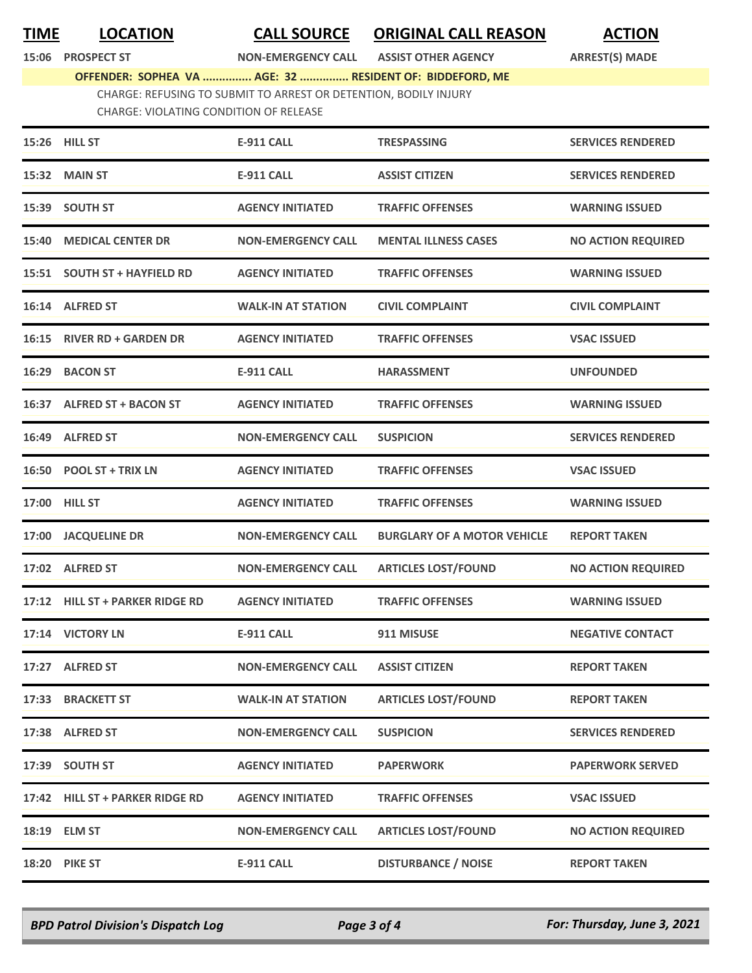**TIME LOCATION CALL SOURCE ORIGINAL CALL REASON ACTION**

**15:06 PROSPECT ST NON-EMERGENCY CALL ASSIST OTHER AGENCY ARREST(S) MADE**

**OFFENDER: SOPHEA VA ............... AGE: 32 ............... RESIDENT OF: BIDDEFORD, ME** CHARGE: REFUSING TO SUBMIT TO ARREST OR DETENTION, BODILY INJURY CHARGE: VIOLATING CONDITION OF RELEASE

|       | 15:26 HILL ST                   | <b>E-911 CALL</b>         | <b>TRESPASSING</b>                 | <b>SERVICES RENDERED</b>  |
|-------|---------------------------------|---------------------------|------------------------------------|---------------------------|
|       | 15:32 MAIN ST                   | <b>E-911 CALL</b>         | <b>ASSIST CITIZEN</b>              | <b>SERVICES RENDERED</b>  |
|       | 15:39 SOUTH ST                  | <b>AGENCY INITIATED</b>   | <b>TRAFFIC OFFENSES</b>            | <b>WARNING ISSUED</b>     |
| 15:40 | <b>MEDICAL CENTER DR</b>        | <b>NON-EMERGENCY CALL</b> | <b>MENTAL ILLNESS CASES</b>        | <b>NO ACTION REQUIRED</b> |
|       | 15:51 SOUTH ST + HAYFIELD RD    | <b>AGENCY INITIATED</b>   | <b>TRAFFIC OFFENSES</b>            | <b>WARNING ISSUED</b>     |
|       | 16:14 ALFRED ST                 | <b>WALK-IN AT STATION</b> | <b>CIVIL COMPLAINT</b>             | <b>CIVIL COMPLAINT</b>    |
|       | 16:15 RIVER RD + GARDEN DR      | <b>AGENCY INITIATED</b>   | <b>TRAFFIC OFFENSES</b>            | <b>VSAC ISSUED</b>        |
|       | 16:29 BACON ST                  | <b>E-911 CALL</b>         | <b>HARASSMENT</b>                  | <b>UNFOUNDED</b>          |
|       | 16:37 ALFRED ST + BACON ST      | <b>AGENCY INITIATED</b>   | <b>TRAFFIC OFFENSES</b>            | <b>WARNING ISSUED</b>     |
|       | 16:49 ALFRED ST                 | <b>NON-EMERGENCY CALL</b> | <b>SUSPICION</b>                   | <b>SERVICES RENDERED</b>  |
|       | 16:50 POOL ST + TRIX LN         | <b>AGENCY INITIATED</b>   | <b>TRAFFIC OFFENSES</b>            | <b>VSAC ISSUED</b>        |
| 17:00 | <b>HILL ST</b>                  | <b>AGENCY INITIATED</b>   | <b>TRAFFIC OFFENSES</b>            | <b>WARNING ISSUED</b>     |
| 17:00 | <b>JACQUELINE DR</b>            | <b>NON-EMERGENCY CALL</b> | <b>BURGLARY OF A MOTOR VEHICLE</b> | <b>REPORT TAKEN</b>       |
|       | 17:02 ALFRED ST                 | <b>NON-EMERGENCY CALL</b> | <b>ARTICLES LOST/FOUND</b>         | <b>NO ACTION REQUIRED</b> |
|       | 17:12 HILL ST + PARKER RIDGE RD | <b>AGENCY INITIATED</b>   | <b>TRAFFIC OFFENSES</b>            | <b>WARNING ISSUED</b>     |
|       | 17:14 VICTORY LN                | <b>E-911 CALL</b>         | 911 MISUSE                         | <b>NEGATIVE CONTACT</b>   |
|       | 17:27 ALFRED ST                 | <b>NON-EMERGENCY CALL</b> | <b>ASSIST CITIZEN</b>              | <b>REPORT TAKEN</b>       |
|       | 17:33 BRACKETT ST               | <b>WALK-IN AT STATION</b> | <b>ARTICLES LOST/FOUND</b>         | <b>REPORT TAKEN</b>       |
|       | 17:38 ALFRED ST                 | <b>NON-EMERGENCY CALL</b> | <b>SUSPICION</b>                   | <b>SERVICES RENDERED</b>  |
|       | 17:39 SOUTH ST                  | <b>AGENCY INITIATED</b>   | <b>PAPERWORK</b>                   | <b>PAPERWORK SERVED</b>   |
|       | 17:42 HILL ST + PARKER RIDGE RD | <b>AGENCY INITIATED</b>   | <b>TRAFFIC OFFENSES</b>            | <b>VSAC ISSUED</b>        |
|       | 18:19 ELM ST                    | <b>NON-EMERGENCY CALL</b> | <b>ARTICLES LOST/FOUND</b>         | <b>NO ACTION REQUIRED</b> |
| 18:20 | <b>PIKE ST</b>                  | <b>E-911 CALL</b>         | <b>DISTURBANCE / NOISE</b>         | <b>REPORT TAKEN</b>       |